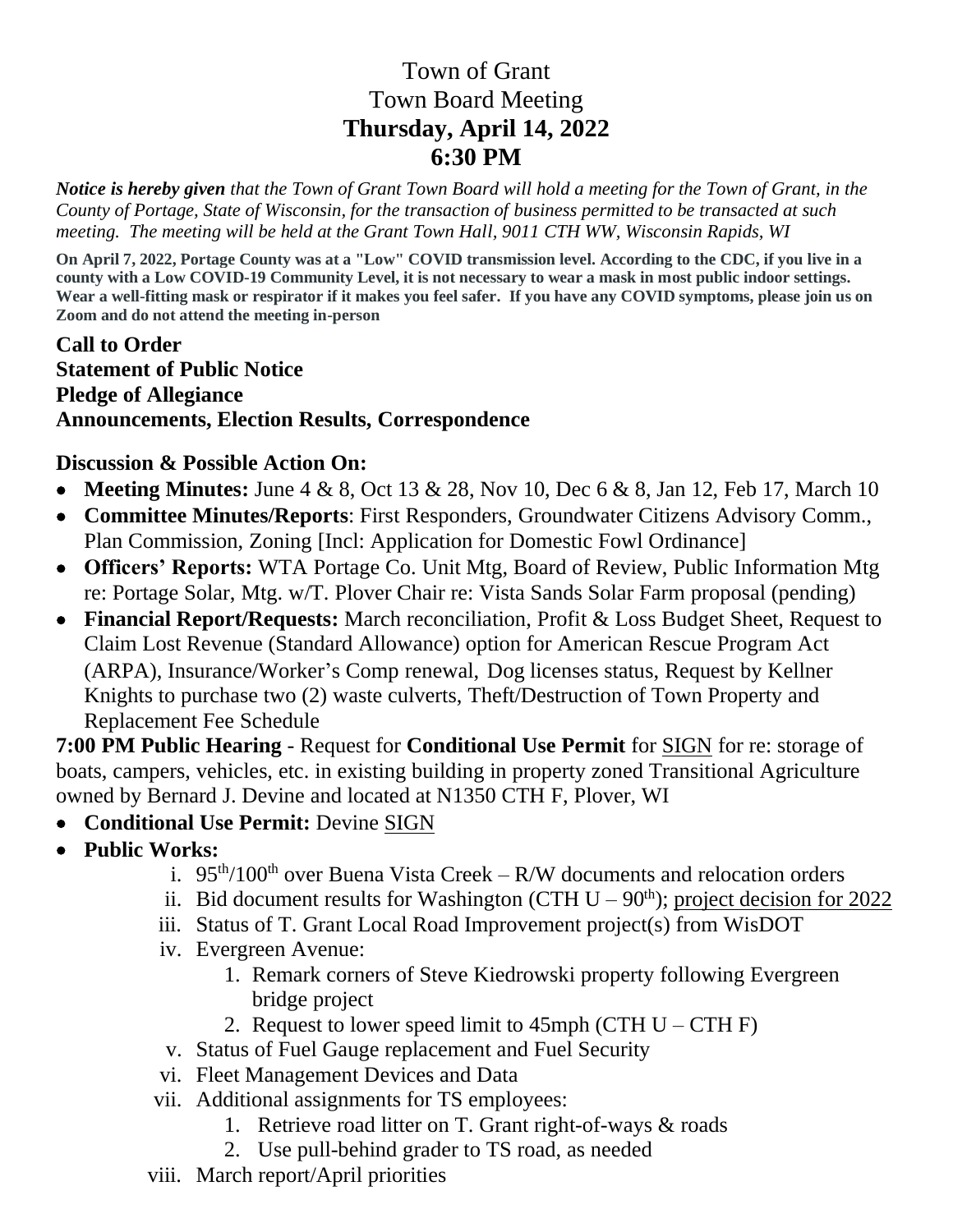## Town of Grant Town Board Meeting **Thursday, April 14, 2022 6:30 PM**

*Notice is hereby given that the Town of Grant Town Board will hold a meeting for the Town of Grant, in the County of Portage, State of Wisconsin, for the transaction of business permitted to be transacted at such meeting. The meeting will be held at the Grant Town Hall, 9011 CTH WW, Wisconsin Rapids, WI*

**On April 7, 2022, Portage County was at a "Low" COVID transmission level. According to the CDC, if you live in a county with a Low COVID-19 Community Level, it is not necessary to wear a mask in most public indoor settings. Wear a well-fitting mask or respirator if it makes you feel safer. If you have any COVID symptoms, please join us on Zoom and do not attend the meeting in-person**

**Call to Order Statement of Public Notice Pledge of Allegiance Announcements, Election Results, Correspondence**

## **Discussion & Possible Action On:**

- **Meeting Minutes:** June 4 & 8, Oct 13 & 28, Nov 10, Dec 6 & 8, Jan 12, Feb 17, March 10
- **Committee Minutes/Reports**: First Responders, Groundwater Citizens Advisory Comm., Plan Commission, Zoning [Incl: Application for Domestic Fowl Ordinance]
- **Officers' Reports:** WTA Portage Co. Unit Mtg, Board of Review, Public Information Mtg re: Portage Solar, Mtg. w/T. Plover Chair re: Vista Sands Solar Farm proposal (pending)
- **Financial Report/Requests:** March reconciliation, Profit & Loss Budget Sheet, Request to Claim Lost Revenue (Standard Allowance) option for American Rescue Program Act (ARPA), Insurance/Worker's Comp renewal, Dog licenses status, Request by Kellner Knights to purchase two (2) waste culverts, Theft/Destruction of Town Property and Replacement Fee Schedule

**7:00 PM Public Hearing** - Request for **Conditional Use Permit** for SIGN for re: storage of boats, campers, vehicles, etc. in existing building in property zoned Transitional Agriculture owned by Bernard J. Devine and located at N1350 CTH F, Plover, WI

- **Conditional Use Permit:** Devine SIGN
- **Public Works:** 
	- i.  $95<sup>th</sup>/100<sup>th</sup>$  over Buena Vista Creek R/W documents and relocation orders
	- ii. Bid document results for Washington (CTH  $U 90<sup>th</sup>$ ); project decision for 2022
	- iii. Status of T. Grant Local Road Improvement project(s) from WisDOT
	- iv. Evergreen Avenue:
		- 1. Remark corners of Steve Kiedrowski property following Evergreen bridge project
		- 2. Request to lower speed limit to  $45$ mph (CTH U CTH F)
	- v. Status of Fuel Gauge replacement and Fuel Security
	- vi. Fleet Management Devices and Data
	- vii. Additional assignments for TS employees:
		- 1. Retrieve road litter on T. Grant right-of-ways & roads
			- 2. Use pull-behind grader to TS road, as needed
	- viii. March report/April priorities